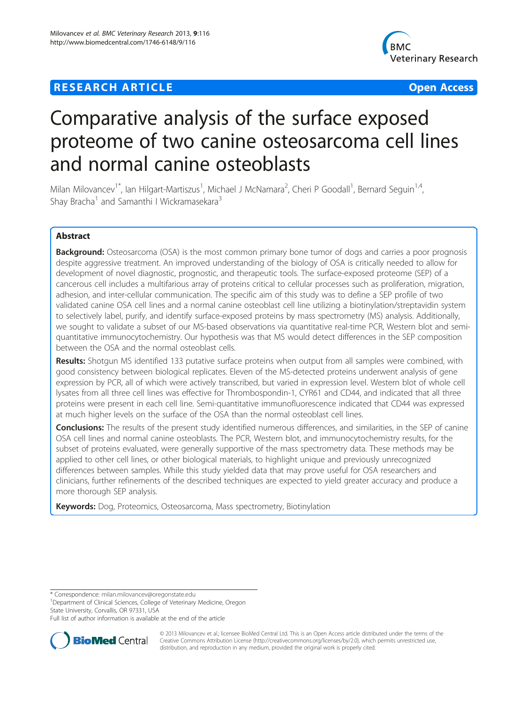# **RESEARCH ARTICLE Example 2014 12:30 The Contract of Contract ACCESS**



# Comparative analysis of the surface exposed proteome of two canine osteosarcoma cell lines and normal canine osteoblasts

Milan Milovancev<sup>1\*</sup>, Ian Hilgart-Martiszus<sup>1</sup>, Michael J McNamara<sup>2</sup>, Cheri P Goodall<sup>1</sup>, Bernard Seguin<sup>1,4</sup>, Shay Bracha<sup>1</sup> and Samanthi I Wickramasekara<sup>3</sup>

# Abstract

**Background:** Osteosarcoma (OSA) is the most common primary bone tumor of dogs and carries a poor prognosis despite aggressive treatment. An improved understanding of the biology of OSA is critically needed to allow for development of novel diagnostic, prognostic, and therapeutic tools. The surface-exposed proteome (SEP) of a cancerous cell includes a multifarious array of proteins critical to cellular processes such as proliferation, migration, adhesion, and inter-cellular communication. The specific aim of this study was to define a SEP profile of two validated canine OSA cell lines and a normal canine osteoblast cell line utilizing a biotinylation/streptavidin system to selectively label, purify, and identify surface-exposed proteins by mass spectrometry (MS) analysis. Additionally, we sought to validate a subset of our MS-based observations via quantitative real-time PCR, Western blot and semiquantitative immunocytochemistry. Our hypothesis was that MS would detect differences in the SEP composition between the OSA and the normal osteoblast cells.

Results: Shotgun MS identified 133 putative surface proteins when output from all samples were combined, with good consistency between biological replicates. Eleven of the MS-detected proteins underwent analysis of gene expression by PCR, all of which were actively transcribed, but varied in expression level. Western blot of whole cell lysates from all three cell lines was effective for Thrombospondin-1, CYR61 and CD44, and indicated that all three proteins were present in each cell line. Semi-quantitative immunofluorescence indicated that CD44 was expressed at much higher levels on the surface of the OSA than the normal osteoblast cell lines.

Conclusions: The results of the present study identified numerous differences, and similarities, in the SEP of canine OSA cell lines and normal canine osteoblasts. The PCR, Western blot, and immunocytochemistry results, for the subset of proteins evaluated, were generally supportive of the mass spectrometry data. These methods may be applied to other cell lines, or other biological materials, to highlight unique and previously unrecognized differences between samples. While this study yielded data that may prove useful for OSA researchers and clinicians, further refinements of the described techniques are expected to yield greater accuracy and produce a more thorough SEP analysis.

Keywords: Dog, Proteomics, Osteosarcoma, Mass spectrometry, Biotinylation

\* Correspondence: [milan.milovancev@oregonstate.edu](mailto:milan.milovancev@oregonstate.edu) <sup>1</sup>

<sup>1</sup>Department of Clinical Sciences, College of Veterinary Medicine, Oregon State University, Corvallis, OR 97331, USA

Full list of author information is available at the end of the article



© 2013 Milovancev et al.; licensee BioMed Central Ltd. This is an Open Access article distributed under the terms of the Creative Commons Attribution License (<http://creativecommons.org/licenses/by/2.0>), which permits unrestricted use, distribution, and reproduction in any medium, provided the original work is properly cited.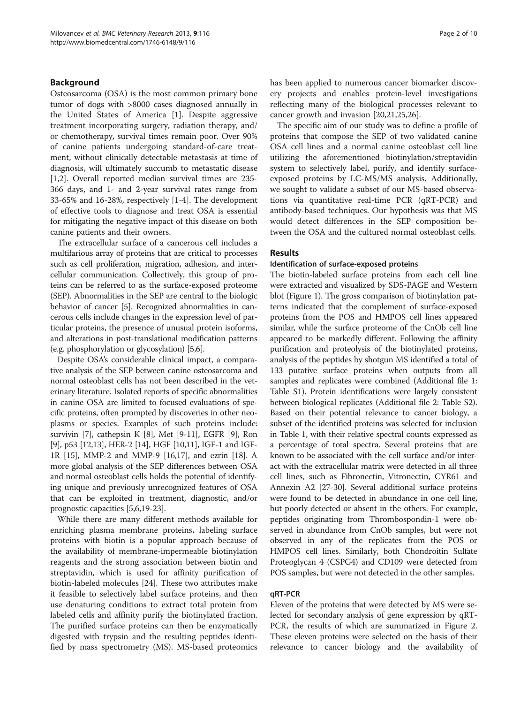#### Background

Osteosarcoma (OSA) is the most common primary bone tumor of dogs with >8000 cases diagnosed annually in the United States of America [[1\]](#page-8-0). Despite aggressive treatment incorporating surgery, radiation therapy, and/ or chemotherapy, survival times remain poor. Over 90% of canine patients undergoing standard-of-care treatment, without clinically detectable metastasis at time of diagnosis, will ultimately succumb to metastatic disease [[1,2\]](#page-8-0). Overall reported median survival times are 235- 366 days, and 1- and 2-year survival rates range from 33-65% and 16-28%, respectively [[1-4](#page-8-0)]. The development of effective tools to diagnose and treat OSA is essential for mitigating the negative impact of this disease on both canine patients and their owners.

The extracellular surface of a cancerous cell includes a multifarious array of proteins that are critical to processes such as cell proliferation, migration, adhesion, and intercellular communication. Collectively, this group of proteins can be referred to as the surface-exposed proteome (SEP). Abnormalities in the SEP are central to the biologic behavior of cancer [[5\]](#page-8-0). Recognized abnormalities in cancerous cells include changes in the expression level of particular proteins, the presence of unusual protein isoforms, and alterations in post-translational modification patterns (e.g. phosphorylation or glycosylation) [\[5,6\]](#page-8-0).

Despite OSA's considerable clinical impact, a comparative analysis of the SEP between canine osteosarcoma and normal osteoblast cells has not been described in the veterinary literature. Isolated reports of specific abnormalities in canine OSA are limited to focused evaluations of specific proteins, often prompted by discoveries in other neoplasms or species. Examples of such proteins include: survivin [[7](#page-8-0)], cathepsin K [\[8\]](#page-8-0), Met [\[9](#page-8-0)-[11](#page-8-0)], EGFR [\[9\]](#page-8-0), Ron [[9\]](#page-8-0), p53 [\[12,13](#page-8-0)], HER-2 [\[14\]](#page-8-0), HGF [\[10,11\]](#page-8-0), IGF-1 and IGF-1R [[15](#page-8-0)], MMP-2 and MMP-9 [[16,17\]](#page-8-0), and ezrin [[18](#page-8-0)]. A more global analysis of the SEP differences between OSA and normal osteoblast cells holds the potential of identifying unique and previously unrecognized features of OSA that can be exploited in treatment, diagnostic, and/or prognostic capacities [\[5,6,19](#page-8-0)[-23\]](#page-9-0).

While there are many different methods available for enriching plasma membrane proteins, labeling surface proteins with biotin is a popular approach because of the availability of membrane-impermeable biotinylation reagents and the strong association between biotin and streptavidin, which is used for affinity purification of biotin-labeled molecules [[24\]](#page-9-0). These two attributes make it feasible to selectively label surface proteins, and then use denaturing conditions to extract total protein from labeled cells and affinity purify the biotinylated fraction. The purified surface proteins can then be enzymatically digested with trypsin and the resulting peptides identified by mass spectrometry (MS). MS-based proteomics has been applied to numerous cancer biomarker discovery projects and enables protein-level investigations reflecting many of the biological processes relevant to cancer growth and invasion [\[20,21,](#page-8-0)[25,26\]](#page-9-0).

The specific aim of our study was to define a profile of proteins that compose the SEP of two validated canine OSA cell lines and a normal canine osteoblast cell line utilizing the aforementioned biotinylation/streptavidin system to selectively label, purify, and identify surfaceexposed proteins by LC-MS/MS analysis. Additionally, we sought to validate a subset of our MS-based observations via quantitative real-time PCR (qRT-PCR) and antibody-based techniques. Our hypothesis was that MS would detect differences in the SEP composition between the OSA and the cultured normal osteoblast cells.

## Results

#### Identification of surface-exposed proteins

The biotin-labeled surface proteins from each cell line were extracted and visualized by SDS-PAGE and Western blot (Figure [1](#page-2-0)). The gross comparison of biotinylation patterns indicated that the complement of surface-exposed proteins from the POS and HMPOS cell lines appeared similar, while the surface proteome of the CnOb cell line appeared to be markedly different. Following the affinity purification and proteolysis of the biotinylated proteins, analysis of the peptides by shotgun MS identified a total of 133 putative surface proteins when outputs from all samples and replicates were combined (Additional file [1](#page-8-0): Table S1). Protein identifications were largely consistent between biological replicates (Additional file [2](#page-8-0): Table S2). Based on their potential relevance to cancer biology, a subset of the identified proteins was selected for inclusion in Table [1](#page-3-0), with their relative spectral counts expressed as a percentage of total spectra. Several proteins that are known to be associated with the cell surface and/or interact with the extracellular matrix were detected in all three cell lines, such as Fibronectin, Vitronectin, CYR61 and Annexin A2 [\[27-30\]](#page-9-0). Several additional surface proteins were found to be detected in abundance in one cell line, but poorly detected or absent in the others. For example, peptides originating from Thrombospondin-1 were observed in abundance from CnOb samples, but were not observed in any of the replicates from the POS or HMPOS cell lines. Similarly, both Chondroitin Sulfate Proteoglycan 4 (CSPG4) and CD109 were detected from POS samples, but were not detected in the other samples.

#### qRT-PCR

Eleven of the proteins that were detected by MS were selected for secondary analysis of gene expression by qRT-PCR, the results of which are summarized in Figure [2](#page-3-0). These eleven proteins were selected on the basis of their relevance to cancer biology and the availability of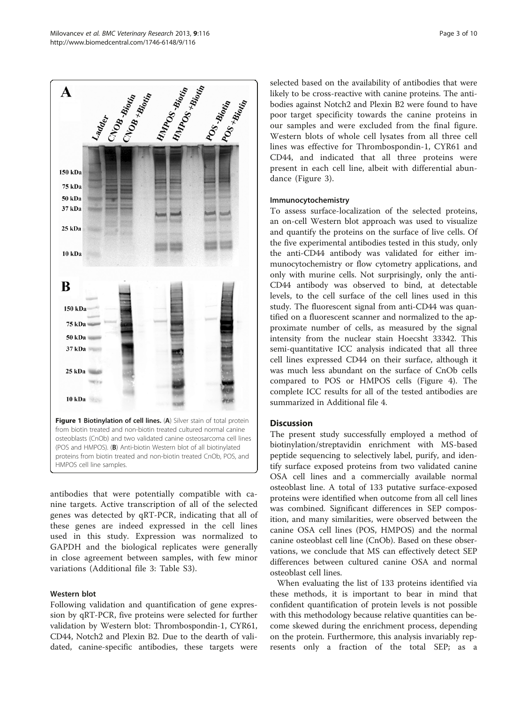<span id="page-2-0"></span>

antibodies that were potentially compatible with canine targets. Active transcription of all of the selected genes was detected by qRT-PCR, indicating that all of these genes are indeed expressed in the cell lines used in this study. Expression was normalized to GAPDH and the biological replicates were generally in close agreement between samples, with few minor variations (Additional file [3](#page-8-0): Table S3).

#### Western blot

Following validation and quantification of gene expression by qRT-PCR, five proteins were selected for further validation by Western blot: Thrombospondin-1, CYR61, CD44, Notch2 and Plexin B2. Due to the dearth of validated, canine-specific antibodies, these targets were selected based on the availability of antibodies that were likely to be cross-reactive with canine proteins. The antibodies against Notch2 and Plexin B2 were found to have poor target specificity towards the canine proteins in our samples and were excluded from the final figure. Western blots of whole cell lysates from all three cell lines was effective for Thrombospondin-1, CYR61 and CD44, and indicated that all three proteins were present in each cell line, albeit with differential abundance (Figure [3](#page-4-0)).

#### Immunocytochemistry

To assess surface-localization of the selected proteins, an on-cell Western blot approach was used to visualize and quantify the proteins on the surface of live cells. Of the five experimental antibodies tested in this study, only the anti-CD44 antibody was validated for either immunocytochemistry or flow cytometry applications, and only with murine cells. Not surprisingly, only the anti-CD44 antibody was observed to bind, at detectable levels, to the cell surface of the cell lines used in this study. The fluorescent signal from anti-CD44 was quantified on a fluorescent scanner and normalized to the approximate number of cells, as measured by the signal intensity from the nuclear stain Hoecsht 33342. This semi-quantitative ICC analysis indicated that all three cell lines expressed CD44 on their surface, although it was much less abundant on the surface of CnOb cells compared to POS or HMPOS cells (Figure [4\)](#page-4-0). The complete ICC results for all of the tested antibodies are summarized in Additional file [4.](#page-8-0)

# Discussion

The present study successfully employed a method of biotinylation/streptavidin enrichment with MS-based peptide sequencing to selectively label, purify, and identify surface exposed proteins from two validated canine OSA cell lines and a commercially available normal osteoblast line. A total of 133 putative surface-exposed proteins were identified when outcome from all cell lines was combined. Significant differences in SEP composition, and many similarities, were observed between the canine OSA cell lines (POS, HMPOS) and the normal canine osteoblast cell line (CnOb). Based on these observations, we conclude that MS can effectively detect SEP differences between cultured canine OSA and normal osteoblast cell lines.

When evaluating the list of 133 proteins identified via these methods, it is important to bear in mind that confident quantification of protein levels is not possible with this methodology because relative quantities can become skewed during the enrichment process, depending on the protein. Furthermore, this analysis invariably represents only a fraction of the total SEP; as a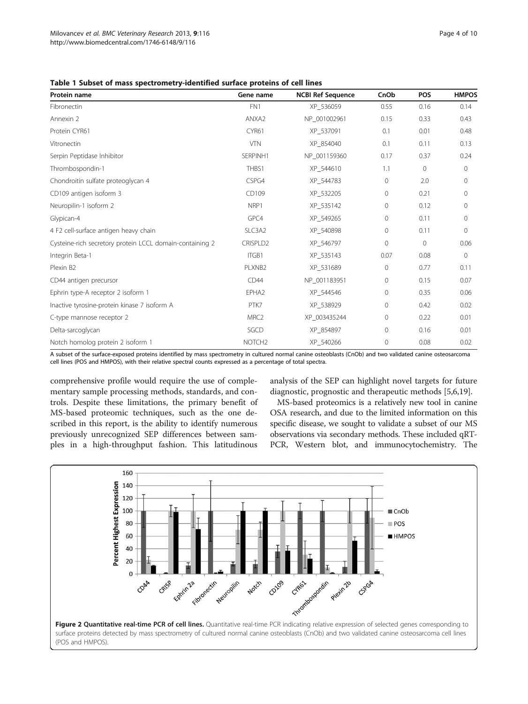<span id="page-3-0"></span>

| Table 1 Subset of mass spectrometry-identified surface proteins of cell lines |  |  |  |
|-------------------------------------------------------------------------------|--|--|--|
|-------------------------------------------------------------------------------|--|--|--|

| Protein name                                             | Gene name          | <b>NCBI Ref Sequence</b> | CnOb     | POS         | <b>HMPOS</b> |
|----------------------------------------------------------|--------------------|--------------------------|----------|-------------|--------------|
| Fibronectin                                              | FN1                | XP_536059                | 0.55     | 0.16        | 0.14         |
| Annexin 2                                                | ANXA2              | NP 001002961             | 0.15     | 0.33        | 0.43         |
| Protein CYR61                                            | CYR61              | XP 537091                | 0.1      | 0.01        | 0.48         |
| Vitronectin                                              | <b>VTN</b>         | XP 854040                | 0.1      | 0.11        | 0.13         |
| Serpin Peptidase Inhibitor                               | SERPINH1           | NP 001159360             | 0.17     | 0.37        | 0.24         |
| Thrombospondin-1                                         | THBS1              | XP 544610                | 1.1      | $\mathbf 0$ | $\Omega$     |
| Chondroitin sulfate proteoglycan 4                       | CSPG4              | XP 544783                | $\Omega$ | 2.0         | $\Omega$     |
| CD109 antigen isoform 3                                  | CD109              | XP 532205                | 0        | 0.21        | $\Omega$     |
| Neuropilin-1 isoform 2                                   | NRP1               | XP 535142                | 0        | 0.12        | $\Omega$     |
| Glypican-4                                               | GPC4               | XP 549265                | 0        | 0.11        | 0            |
| 4 F2 cell-surface antigen heavy chain                    | SLC3A2             | XP 540898                | 0        | 0.11        | $\Omega$     |
| Cysteine-rich secretory protein LCCL domain-containing 2 | CRISPLD2           | XP 546797                | $\Omega$ | $\Omega$    | 0.06         |
| Integrin Beta-1                                          | ITGB1              | XP 535143                | 0.07     | 0.08        | $\Omega$     |
| Plexin B2                                                | PLXNB <sub>2</sub> | XP 531689                | $\Omega$ | 0.77        | 0.11         |
| CD44 antigen precursor                                   | CD44               | NP 001183951             | 0        | 0.15        | 0.07         |
| Ephrin type-A receptor 2 isoform 1                       | EPHA2              | XP 544546                | 0        | 0.35        | 0.06         |
| Inactive tyrosine-protein kinase 7 isoform A             | PTK7               | XP_538929                | 0        | 0.42        | 0.02         |
| C-type mannose receptor 2                                | MRC <sub>2</sub>   | XP 003435244             | 0        | 0.22        | 0.01         |
| Delta-sarcoglycan                                        | SGCD               | XP 854897                | $\Omega$ | 0.16        | 0.01         |
| Notch homolog protein 2 isoform 1                        | NOTCH <sub>2</sub> | XP 540266                | $\Omega$ | 0.08        | 0.02         |

A subset of the surface-exposed proteins identified by mass spectrometry in cultured normal canine osteoblasts (CnOb) and two validated canine osteosarcoma cell lines (POS and HMPOS), with their relative spectral counts expressed as a percentage of total spectra.

comprehensive profile would require the use of complementary sample processing methods, standards, and controls. Despite these limitations, the primary benefit of MS-based proteomic techniques, such as the one described in this report, is the ability to identify numerous previously unrecognized SEP differences between samples in a high-throughput fashion. This latitudinous

analysis of the SEP can highlight novel targets for future diagnostic, prognostic and therapeutic methods [\[5,6,19\]](#page-8-0).

MS-based proteomics is a relatively new tool in canine OSA research, and due to the limited information on this specific disease, we sought to validate a subset of our MS observations via secondary methods. These included qRT-PCR, Western blot, and immunocytochemistry. The

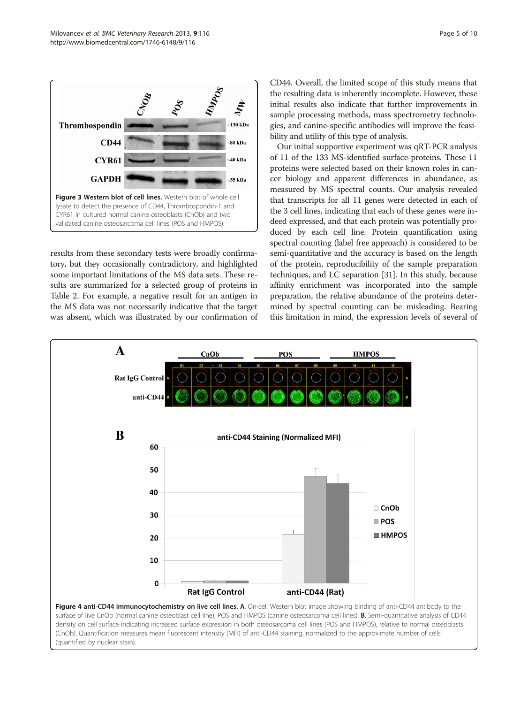<span id="page-4-0"></span>

results from these secondary tests were broadly confirmatory, but they occasionally contradictory, and highlighted some important limitations of the MS data sets. These results are summarized for a selected group of proteins in Table [2](#page-5-0). For example, a negative result for an antigen in the MS data was not necessarily indicative that the target was absent, which was illustrated by our confirmation of

CD44. Overall, the limited scope of this study means that the resulting data is inherently incomplete. However, these initial results also indicate that further improvements in sample processing methods, mass spectrometry technologies, and canine-specific antibodies will improve the feasibility and utility of this type of analysis.

Our initial supportive experiment was qRT-PCR analysis of 11 of the 133 MS-identified surface-proteins. These 11 proteins were selected based on their known roles in cancer biology and apparent differences in abundance, as measured by MS spectral counts. Our analysis revealed that transcripts for all 11 genes were detected in each of the 3 cell lines, indicating that each of these genes were indeed expressed, and that each protein was potentially produced by each cell line. Protein quantification using spectral counting (label free approach) is considered to be semi-quantitative and the accuracy is based on the length of the protein, reproducibility of the sample preparation techniques, and LC separation [[31](#page-9-0)]. In this study, because affinity enrichment was incorporated into the sample preparation, the relative abundance of the proteins determined by spectral counting can be misleading. Bearing this limitation in mind, the expression levels of several of



(quantified by nuclear stain).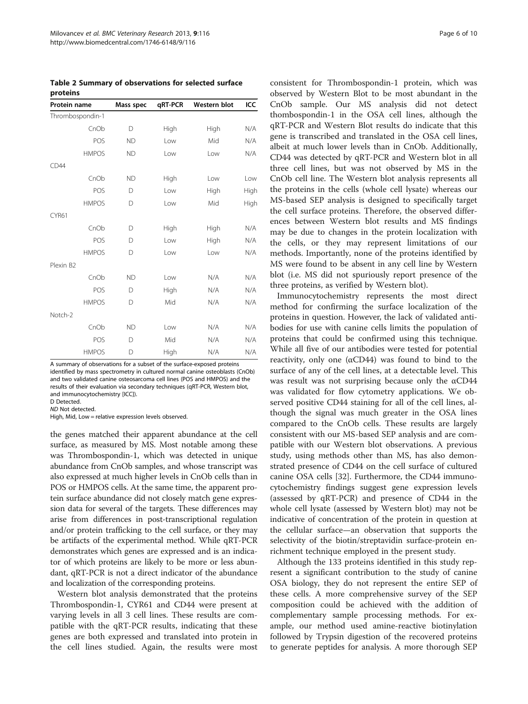<span id="page-5-0"></span>Table 2 Summary of observations for selected surface proteins

| Protein name     | Mass spec | qRT-PCR | <b>Western blot</b> | ICC  |
|------------------|-----------|---------|---------------------|------|
| Thrombospondin-1 |           |         |                     |      |
| CnOb             | D         | High    | High                | N/A  |
| POS              | <b>ND</b> | Low     | Mid                 | N/A  |
| <b>HMPOS</b>     | <b>ND</b> | Low     | Low                 | N/A  |
| CD44             |           |         |                     |      |
| CnOb             | <b>ND</b> | High    | Low                 | Low  |
| POS              | D         | Low     | High                | High |
| <b>HMPOS</b>     | D         | Low     | Mid                 | High |
| CYR61            |           |         |                     |      |
| CnOb             | D         | High    | High                | N/A  |
| POS              | D         | Low     | High                | N/A  |
| <b>HMPOS</b>     | D         | l ow    | Low                 | N/A  |
| Plexin B2        |           |         |                     |      |
| CnOb             | <b>ND</b> | Low     | N/A                 | N/A  |
| POS              | D         | High    | N/A                 | N/A  |
| <b>HMPOS</b>     | D         | Mid     | N/A                 | N/A  |
| Notch-2          |           |         |                     |      |
| CnOb             | <b>ND</b> | Low     | N/A                 | N/A  |
| POS              | D         | Mid     | N/A                 | N/A  |
| <b>HMPOS</b>     | D         | High    | N/A                 | N/A  |

A summary of observations for a subset of the surface-exposed proteins identified by mass spectrometry in cultured normal canine osteoblasts (CnOb) and two validated canine osteosarcoma cell lines (POS and HMPOS) and the results of their evaluation via secondary techniques (qRT-PCR, Western blot, and immunocytochemistry [ICC]).

ND Not detected.

High, Mid, Low = relative expression levels observed.

the genes matched their apparent abundance at the cell surface, as measured by MS. Most notable among these was Thrombospondin-1, which was detected in unique abundance from CnOb samples, and whose transcript was also expressed at much higher levels in CnOb cells than in POS or HMPOS cells. At the same time, the apparent protein surface abundance did not closely match gene expression data for several of the targets. These differences may arise from differences in post-transcriptional regulation and/or protein trafficking to the cell surface, or they may be artifacts of the experimental method. While qRT-PCR demonstrates which genes are expressed and is an indicator of which proteins are likely to be more or less abundant, qRT-PCR is not a direct indicator of the abundance and localization of the corresponding proteins.

Western blot analysis demonstrated that the proteins Thrombospondin-1, CYR61 and CD44 were present at varying levels in all 3 cell lines. These results are compatible with the qRT-PCR results, indicating that these genes are both expressed and translated into protein in the cell lines studied. Again, the results were most

consistent for Thrombospondin-1 protein, which was observed by Western Blot to be most abundant in the CnOb sample. Our MS analysis did not detect thombospondin-1 in the OSA cell lines, although the qRT-PCR and Western Blot results do indicate that this gene is transcribed and translated in the OSA cell lines, albeit at much lower levels than in CnOb. Additionally, CD44 was detected by qRT-PCR and Western blot in all three cell lines, but was not observed by MS in the CnOb cell line. The Western blot analysis represents all the proteins in the cells (whole cell lysate) whereas our MS-based SEP analysis is designed to specifically target the cell surface proteins. Therefore, the observed differences between Western blot results and MS findings may be due to changes in the protein localization with the cells, or they may represent limitations of our methods. Importantly, none of the proteins identified by MS were found to be absent in any cell line by Western blot (i.e. MS did not spuriously report presence of the three proteins, as verified by Western blot).

Immunocytochemistry represents the most direct method for confirming the surface localization of the proteins in question. However, the lack of validated antibodies for use with canine cells limits the population of proteins that could be confirmed using this technique. While all five of our antibodies were tested for potential reactivity, only one (αCD44) was found to bind to the surface of any of the cell lines, at a detectable level. This was result was not surprising because only the αCD44 was validated for flow cytometry applications. We observed positive CD44 staining for all of the cell lines, although the signal was much greater in the OSA lines compared to the CnOb cells. These results are largely consistent with our MS-based SEP analysis and are compatible with our Western blot observations. A previous study, using methods other than MS, has also demonstrated presence of CD44 on the cell surface of cultured canine OSA cells [\[32](#page-9-0)]. Furthermore, the CD44 immunocytochemistry findings suggest gene expression levels (assessed by qRT-PCR) and presence of CD44 in the whole cell lysate (assessed by Western blot) may not be indicative of concentration of the protein in question at the cellular surface—an observation that supports the selectivity of the biotin/streptavidin surface-protein enrichment technique employed in the present study.

Although the 133 proteins identified in this study represent a significant contribution to the study of canine OSA biology, they do not represent the entire SEP of these cells. A more comprehensive survey of the SEP composition could be achieved with the addition of complementary sample processing methods. For example, our method used amine-reactive biotinylation followed by Trypsin digestion of the recovered proteins to generate peptides for analysis. A more thorough SEP

D Detected.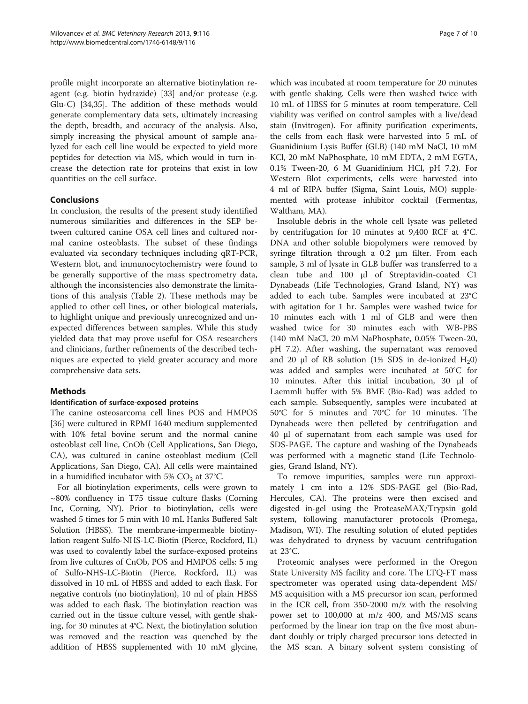profile might incorporate an alternative biotinylation reagent (e.g. biotin hydrazide) [[33](#page-9-0)] and/or protease (e.g. Glu-C) [[34](#page-9-0),[35](#page-9-0)]. The addition of these methods would generate complementary data sets, ultimately increasing the depth, breadth, and accuracy of the analysis. Also, simply increasing the physical amount of sample analyzed for each cell line would be expected to yield more peptides for detection via MS, which would in turn increase the detection rate for proteins that exist in low quantities on the cell surface.

## Conclusions

In conclusion, the results of the present study identified numerous similarities and differences in the SEP between cultured canine OSA cell lines and cultured normal canine osteoblasts. The subset of these findings evaluated via secondary techniques including qRT-PCR, Western blot, and immunocytochemistry were found to be generally supportive of the mass spectrometry data, although the inconsistencies also demonstrate the limitations of this analysis (Table [2](#page-5-0)). These methods may be applied to other cell lines, or other biological materials, to highlight unique and previously unrecognized and unexpected differences between samples. While this study yielded data that may prove useful for OSA researchers and clinicians, further refinements of the described techniques are expected to yield greater accuracy and more comprehensive data sets.

## Methods

## Identification of surface-exposed proteins

The canine osteosarcoma cell lines POS and HMPOS [[36\]](#page-9-0) were cultured in RPMI 1640 medium supplemented with 10% fetal bovine serum and the normal canine osteoblast cell line, CnOb (Cell Applications, San Diego, CA), was cultured in canine osteoblast medium (Cell Applications, San Diego, CA). All cells were maintained in a humidified incubator with 5%  $CO<sub>2</sub>$  at 37°C.

For all biotinylation experiments, cells were grown to ~80% confluency in T75 tissue culture flasks (Corning Inc, Corning, NY). Prior to biotinylation, cells were washed 5 times for 5 min with 10 mL Hanks Buffered Salt Solution (HBSS). The membrane-impermeable biotinylation reagent Sulfo-NHS-LC-Biotin (Pierce, Rockford, IL) was used to covalently label the surface-exposed proteins from live cultures of CnOb, POS and HMPOS cells: 5 mg of Sulfo-NHS-LC-Biotin (Pierce, Rockford, IL) was dissolved in 10 mL of HBSS and added to each flask. For negative controls (no biotinylation), 10 ml of plain HBSS was added to each flask. The biotinylation reaction was carried out in the tissue culture vessel, with gentle shaking, for 30 minutes at 4°C. Next, the biotinylation solution was removed and the reaction was quenched by the addition of HBSS supplemented with 10 mM glycine,

which was incubated at room temperature for 20 minutes with gentle shaking. Cells were then washed twice with 10 mL of HBSS for 5 minutes at room temperature. Cell viability was verified on control samples with a live/dead stain (Invitrogen). For affinity purification experiments, the cells from each flask were harvested into 5 mL of Guanidinium Lysis Buffer (GLB) (140 mM NaCl, 10 mM KCl, 20 mM NaPhosphate, 10 mM EDTA, 2 mM EGTA, 0.1% Tween-20, 6 M Guanidinium HCl, pH 7.2). For Western Blot experiments, cells were harvested into 4 ml of RIPA buffer (Sigma, Saint Louis, MO) supplemented with protease inhibitor cocktail (Fermentas, Waltham, MA).

Insoluble debris in the whole cell lysate was pelleted by centrifugation for 10 minutes at 9,400 RCF at 4°C. DNA and other soluble biopolymers were removed by syringe filtration through a 0.2 μm filter. From each sample, 3 ml of lysate in GLB buffer was transferred to a clean tube and 100 μl of Streptavidin-coated C1 Dynabeads (Life Technologies, Grand Island, NY) was added to each tube. Samples were incubated at 23°C with agitation for 1 hr. Samples were washed twice for 10 minutes each with 1 ml of GLB and were then washed twice for 30 minutes each with WB-PBS (140 mM NaCl, 20 mM NaPhosphate, 0.05% Tween-20, pH 7.2). After washing, the supernatant was removed and 20  $\mu$ l of RB solution (1% SDS in de-ionized H<sub>2</sub>0) was added and samples were incubated at 50°C for 10 minutes. After this initial incubation, 30 μl of Laemmli buffer with 5% BME (Bio-Rad) was added to each sample. Subsequently, samples were incubated at 50°C for 5 minutes and 70°C for 10 minutes. The Dynabeads were then pelleted by centrifugation and 40 μl of supernatant from each sample was used for SDS-PAGE. The capture and washing of the Dynabeads was performed with a magnetic stand (Life Technologies, Grand Island, NY).

To remove impurities, samples were run approximately 1 cm into a 12% SDS-PAGE gel (Bio-Rad, Hercules, CA). The proteins were then excised and digested in-gel using the ProteaseMAX/Trypsin gold system, following manufacturer protocols (Promega, Madison, WI). The resulting solution of eluted peptides was dehydrated to dryness by vacuum centrifugation at 23°C.

Proteomic analyses were performed in the Oregon State University MS facility and core. The LTQ-FT mass spectrometer was operated using data-dependent MS/ MS acquisition with a MS precursor ion scan, performed in the ICR cell, from 350-2000 m/z with the resolving power set to 100,000 at m/z 400, and MS/MS scans performed by the linear ion trap on the five most abundant doubly or triply charged precursor ions detected in the MS scan. A binary solvent system consisting of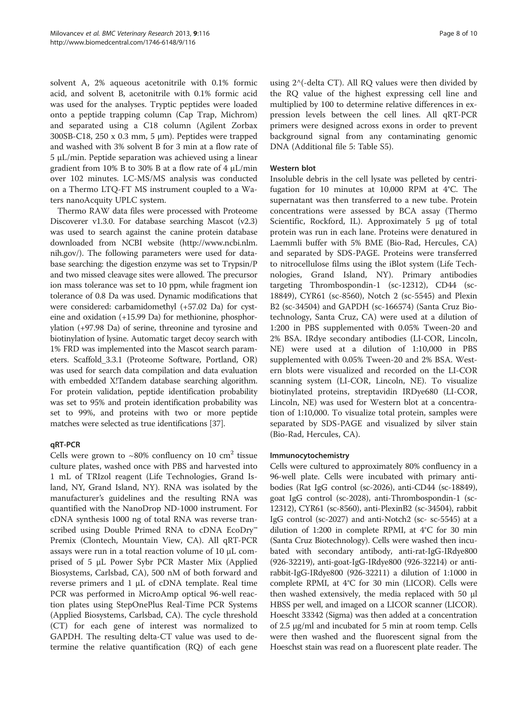solvent A, 2% aqueous acetonitrile with 0.1% formic acid, and solvent B, acetonitrile with 0.1% formic acid was used for the analyses. Tryptic peptides were loaded onto a peptide trapping column (Cap Trap, Michrom) and separated using a C18 column (Agilent Zorbax 300SB-C18, 250 x 0.3 mm, 5 μm). Peptides were trapped and washed with 3% solvent B for 3 min at a flow rate of 5 μL/min. Peptide separation was achieved using a linear gradient from 10% B to 30% B at a flow rate of 4 μL/min over 102 minutes. LC-MS/MS analysis was conducted on a Thermo LTQ-FT MS instrument coupled to a Waters nanoAcquity UPLC system.

Thermo RAW data files were processed with Proteome Discoverer v1.3.0. For database searching Mascot (v2.3) was used to search against the canine protein database downloaded from NCBI website ([http://www.ncbi.nlm.](http://www.ncbi.nlm.nih.gov/) [nih.gov/](http://www.ncbi.nlm.nih.gov/)). The following parameters were used for database searching: the digestion enzyme was set to Trypsin/P and two missed cleavage sites were allowed. The precursor ion mass tolerance was set to 10 ppm, while fragment ion tolerance of 0.8 Da was used. Dynamic modifications that were considered: carbamidomethyl (+57.02 Da) for cysteine and oxidation (+15.99 Da) for methionine, phosphorylation (+97.98 Da) of serine, threonine and tyrosine and biotinylation of lysine. Automatic target decoy search with 1% FRD was implemented into the Mascot search parameters. Scaffold\_3.3.1 (Proteome Software, Portland, OR) was used for search data compilation and data evaluation with embedded X!Tandem database searching algorithm. For protein validation, peptide identification probability was set to 95% and protein identification probability was set to 99%, and proteins with two or more peptide matches were selected as true identifications [\[37](#page-9-0)].

## qRT-PCR

Cells were grown to  $\sim 80\%$  confluency on 10 cm<sup>2</sup> tissue culture plates, washed once with PBS and harvested into 1 mL of TRIzol reagent (Life Technologies, Grand Island, NY, Grand Island, NY). RNA was isolated by the manufacturer's guidelines and the resulting RNA was quantified with the NanoDrop ND-1000 instrument. For cDNA synthesis 1000 ng of total RNA was reverse transcribed using Double Primed RNA to cDNA EcoDry™ Premix (Clontech, Mountain View, CA). All qRT-PCR assays were run in a total reaction volume of 10 μL comprised of 5 μL Power Sybr PCR Master Mix (Applied Biosystems, Carlsbad, CA), 500 nM of both forward and reverse primers and 1 μL of cDNA template. Real time PCR was performed in MicroAmp optical 96-well reaction plates using StepOnePlus Real-Time PCR Systems (Applied Biosystems, Carlsbad, CA). The cycle threshold (CT) for each gene of interest was normalized to GAPDH. The resulting delta-CT value was used to determine the relative quantification (RQ) of each gene using 2^(-delta CT). All RQ values were then divided by the RQ value of the highest expressing cell line and multiplied by 100 to determine relative differences in expression levels between the cell lines. All qRT-PCR primers were designed across exons in order to prevent background signal from any contaminating genomic DNA (Additional file [5:](#page-8-0) Table S5).

#### Western blot

Insoluble debris in the cell lysate was pelleted by centrifugation for 10 minutes at 10,000 RPM at 4°C. The supernatant was then transferred to a new tube. Protein concentrations were assessed by BCA assay (Thermo Scientific, Rockford, IL). Approximately 5 μg of total protein was run in each lane. Proteins were denatured in Laemmli buffer with 5% BME (Bio-Rad, Hercules, CA) and separated by SDS-PAGE. Proteins were transferred to nitrocellulose films using the iBlot system (Life Technologies, Grand Island, NY). Primary antibodies targeting Thrombospondin-1 (sc-12312), CD44 (sc-18849), CYR61 (sc-8560), Notch 2 (sc-5545) and Plexin B2 (sc-34504) and GAPDH (sc-166574) (Santa Cruz Biotechnology, Santa Cruz, CA) were used at a dilution of 1:200 in PBS supplemented with 0.05% Tween-20 and 2% BSA. IRdye secondary antibodies (LI-COR, Lincoln, NE) were used at a dilution of 1:10,000 in PBS supplemented with 0.05% Tween-20 and 2% BSA. Western blots were visualized and recorded on the LI-COR scanning system (LI-COR, Lincoln, NE). To visualize biotinylated proteins, streptavidin IRDye680 (LI-COR, Lincoln, NE) was used for Western blot at a concentration of 1:10,000. To visualize total protein, samples were separated by SDS-PAGE and visualized by silver stain (Bio-Rad, Hercules, CA).

## Immunocytochemistry

Cells were cultured to approximately 80% confluency in a 96-well plate. Cells were incubated with primary antibodies (Rat IgG control (sc-2026), anti-CD44 (sc-18849), goat IgG control (sc-2028), anti-Thrombospondin-1 (sc-12312), CYR61 (sc-8560), anti-PlexinB2 (sc-34504), rabbit IgG control (sc-2027) and anti-Notch2 (sc- sc-5545) at a dilution of 1:200 in complete RPMI, at 4°C for 30 min (Santa Cruz Biotechnology). Cells were washed then incubated with secondary antibody, anti-rat-IgG-IRdye800 (926-32219), anti-goat-IgG-IRdye800 (926-32214) or antirabbit-IgG-IRdye800 (926-32211) a dilution of 1:1000 in complete RPMI, at 4°C for 30 min (LICOR). Cells were then washed extensively, the media replaced with 50 μl HBSS per well, and imaged on a LICOR scanner (LICOR). Hoescht 33342 (Sigma) was then added at a concentration of 2.5 μg/ml and incubated for 5 min at room temp. Cells were then washed and the fluorescent signal from the Hoeschst stain was read on a fluorescent plate reader. The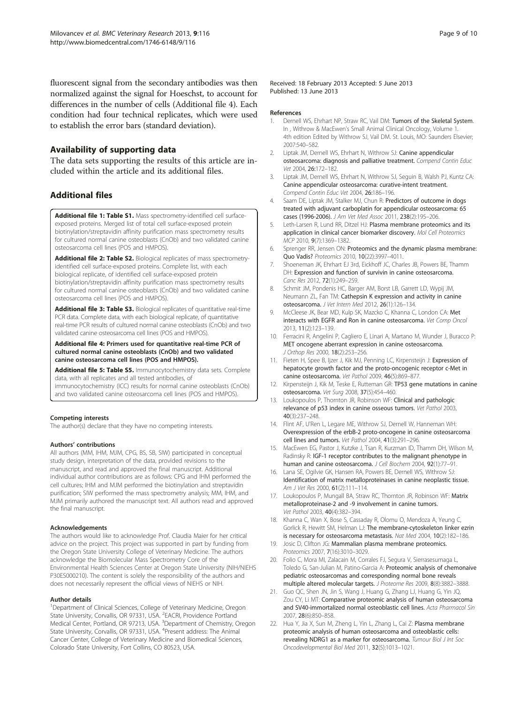<span id="page-8-0"></span>fluorescent signal from the secondary antibodies was then normalized against the signal for Hoeschst, to account for differences in the number of cells (Additional file 4). Each condition had four technical replicates, which were used to establish the error bars (standard deviation).

# Availability of supporting data

The data sets supporting the results of this article are included within the article and its additional files.

# Additional files

[Additional file 1: Table S1.](http://www.biomedcentral.com/content/supplementary/1746-6148-9-116-S1.pdf) Mass spectrometry-identified cell surfaceexposed proteins. Merged list of total cell surface-exposed protein biotinylation/streptavidin affinity purification mass spectrometry results for cultured normal canine osteoblasts (CnOb) and two validated canine osteosarcoma cell lines (POS and HMPOS).

[Additional file 2: Table S2.](http://www.biomedcentral.com/content/supplementary/1746-6148-9-116-S2.pdf) Biological replicates of mass spectrometryidentified cell surface-exposed proteins. Complete list, with each biological replicate, of identified cell surface-exposed protein biotinylation/streptavidin affinity purification mass spectrometry results for cultured normal canine osteoblasts (CnOb) and two validated canine osteosarcoma cell lines (POS and HMPOS).

[Additional file 3: Table S3.](http://www.biomedcentral.com/content/supplementary/1746-6148-9-116-S3.pdf) Biological replicates of quantitative real-time PCR data. Complete data, with each biological replicate, of quantitative real-time PCR results of cultured normal canine osteoblasts (CnOb) and two validated canine osteosarcoma cell lines (POS and HMPOS).

[Additional file 4:](http://www.biomedcentral.com/content/supplementary/1746-6148-9-116-S4.pdf) Primers used for quantitative real-time PCR of cultured normal canine osteoblasts (CnOb) and two validated canine osteosarcoma cell lines (POS and HMPOS).

[Additional file 5: Table S5.](http://www.biomedcentral.com/content/supplementary/1746-6148-9-116-S5.pdf) Immunocytochemistry data sets. Complete data, with all replicates and all tested antibodies, of immunocytochemistry (ICC) results for normal canine osteoblasts (CnOb) and two validated canine osteosarcoma cell lines (POS and HMPOS).

#### Competing interests

The author(s) declare that they have no competing interests.

#### Authors' contributions

All authors (MM, IHM, MJM, CPG, BS, SB, SIW) participated in conceptual study design, interpretation of the data, provided revisions to the manuscript, and read and approved the final manuscript. Additional individual author contributions are as follows: CPG and IHM performed the cell cultures; IHM and MJM performed the biotinylation and streptavidin purification; SIW performed the mass spectrometry analysis; MM, IHM, and MJM primarily authored the manuscript text. All authors read and approved the final manuscript.

#### Acknowledgements

The authors would like to acknowledge Prof. Claudia Maier for her critical advice on the project. This project was supported in part by funding from the Oregon State University College of Veterinary Medicine. The authors acknowledge the Biomolecular Mass Spectrometry Core of the Environmental Health Sciences Center at Oregon State University (NIH/NIEHS P30ES000210). The content is solely the responsibility of the authors and does not necessarily represent the official views of NIEHS or NIH.

#### Author details

<sup>1</sup>Department of Clinical Sciences, College of Veterinary Medicine, Oregon State University, Corvallis, OR 97331, USA. <sup>2</sup>EACRI, Providence Portland Medical Center, Portland, OR 97213, USA. <sup>3</sup>Department of Chemistry, Oregon State University, Corvallis, OR 97331, USA. <sup>4</sup>Present address: The Animal Cancer Center, College of Veterinary Medicine and Biomedical Sciences, Colorado State University, Fort Collins, CO 80523, USA.

Received: 18 February 2013 Accepted: 5 June 2013 Published: 13 June 2013

#### References

- 1. Dernell WS, Ehrhart NP, Straw RC, Vail DM: Tumors of the Skeletal System. In , Withrow & MacEwen's Small Animal Clinical Oncology, Volume 1. 4th edition Edited by Withrow SJ, Vail DM. St. Louis, MO: Saunders Elsevier; 2007:540–582.
- 2. Liptak JM, Dernell WS, Ehrhart N, Withrow SJ: Canine appendicular osteosarcoma: diagnosis and palliative treatment. Compend Contin Educ Vet 2004, 26:172–182.
- 3. Liptak JM, Dernell WS, Ehrhart N, Withrow SJ, Seguin B, Walsh PJ, Kuntz CA: Canine appendicular osteosarcoma: curative-intent treatment. Compend Contin Educ Vet 2004, 26:186–196.
- 4. Saam DE, Liptak JM, Stalker MJ, Chun R: Predictors of outcome in dogs treated with adjuvant carboplatin for appendicular osteosarcoma: 65 cases (1996-2006). J Am Vet Med Assoc 2011, 238(2):195–206.
- 5. Leth-Larsen R, Lund RR, Ditzel HJ: Plasma membrane proteomics and its application in clinical cancer biomarker discovery. Mol Cell Proteomics MCP 2010, 9(7):1369–1382.
- Sprenger RR, Jensen ON: Proteomics and the dynamic plasma membrane: Quo Vadis? Proteomics 2010, 10(22):3997–4011.
- 7. Shoeneman JK, Ehrhart EJ 3rd, Eickhoff JC, Charles JB, Powers BE, Thamm DH: Expression and function of survivin in canine osteosarcoma. Canc Res 2012, 72(1):249–259.
- 8. Schmit JM, Pondenis HC, Barger AM, Borst LB, Garrett LD, Wypij JM, Neumann ZL, Fan TM: Cathepsin K expression and activity in canine osteosarcoma. J Vet Intern Med 2012, 26(1):126–134.
- 9. McCleese JK, Bear MD, Kulp SK, Mazcko C, Khanna C, London CA: Met interacts with EGFR and Ron in canine osteosarcoma. Vet Comp Oncol 2013, 11(2):123–139.
- 10. Ferracini R, Angelini P, Cagliero E, Linari A, Martano M, Wunder J, Buracco P: MET oncogene aberrant expression in canine osteosarcoma. J Orthop Res 2000, 18(2):253–256.
- 11. Fieten H, Spee B, Ijzer J, Kik MJ, Penning LC, Kirpensteijn J: Expression of hepatocyte growth factor and the proto-oncogenic receptor c-Met in canine osteosarcoma. Vet Pathol 2009, 46(5):869–877.
- 12. Kirpensteijn J, Kik M, Teske E, Rutteman GR: TP53 gene mutations in canine osteosarcoma. Vet Surg 2008, 37(5):454–460.
- 13. Loukopoulos P, Thornton JR, Robinson WF: Clinical and pathologic relevance of p53 index in canine osseous tumors. Vet Pathol 2003, 40(3):237–248.
- 14. Flint AF, U'Ren L, Legare ME, Withrow SJ, Dernell W, Hanneman WH: Overexpression of the erbB-2 proto-oncogene in canine osteosarcoma cell lines and tumors. Vet Pathol 2004, 41(3):291–296.
- 15. MacEwen EG, Pastor J, Kutzke J, Tsan R, Kurzman ID, Thamm DH, Wilson M, Radinsky R: IGF-1 receptor contributes to the malignant phenotype in human and canine osteosarcoma. J Cell Biochem 2004, 92(1):77-91.
- 16. Lana SE, Ogilvie GK, Hansen RA, Powers BE, Dernell WS, Withrow SJ: Identification of matrix metalloproteinases in canine neoplastic tissue. Am J Vet Res 2000, 61(2):111–114.
- 17. Loukopoulos P, Mungall BA, Straw RC, Thornton JR, Robinson WF: Matrix metalloproteinase-2 and -9 involvement in canine tumors. Vet Pathol 2003, 40(4):382–394.
- 18. Khanna C, Wan X, Bose S, Cassaday R, Olomu O, Mendoza A, Yeung C, Gorlick R, Hewitt SM, Helman LJ: The membrane-cytoskeleton linker ezrin is necessary for osteosarcoma metastasis. Nat Med 2004, 10(2):182–186.
- 19. Josic D, Clifton JG: Mammalian plasma membrane proteomics. Proteomics 2007, 7(16):3010–3029.
- 20. Folio C, Mora MI, Zalacain M, Corrales FJ, Segura V, Sierrasesumaga L, Toledo G, San-Julian M, Patino-Garcia A: Proteomic analysis of chemonaive pediatric osteosarcomas and corresponding normal bone reveals multiple altered molecular targets. J Proteome Res 2009, 8(8):3882–3888.
- 21. Guo QC, Shen JN, Jin S, Wang J, Huang G, Zhang LJ, Huang G, Yin JQ, Zou CY, Li MT: Comparative proteomic analysis of human osteosarcoma and SV40-immortalized normal osteoblastic cell lines. Acta Pharmacol Sin 2007, 28(6):850–858.
- 22. Hua Y, Jia X, Sun M, Zheng L, Yin L, Zhang L, Cai Z: Plasma membrane proteomic analysis of human osteosarcoma and osteoblastic cells: revealing NDRG1 as a marker for osteosarcoma. Tumour Biol J Int Soc Oncodevelopmental Biol Med 2011, 32(5):1013–1021.